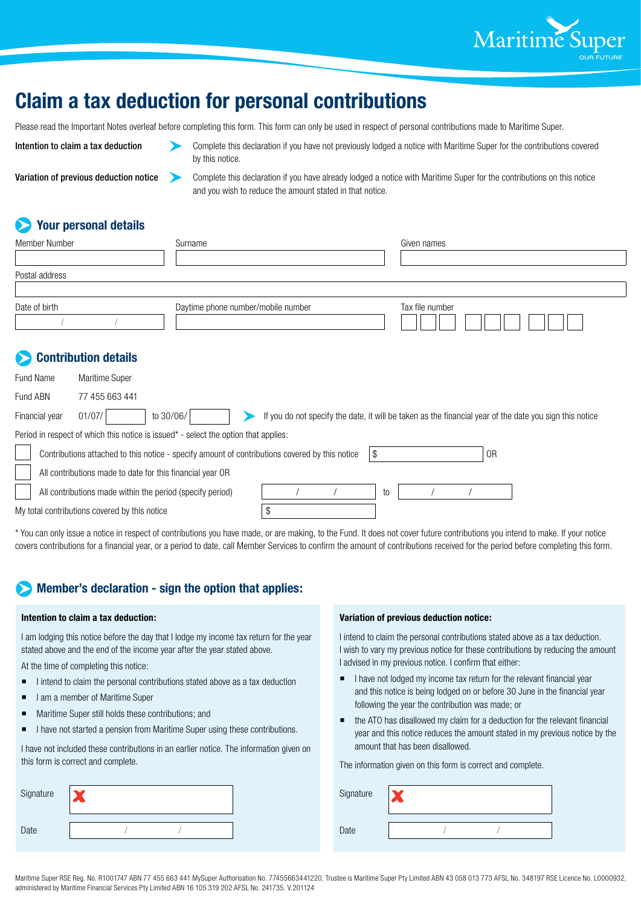

# **Claim a tax deduction for personal contributions**

Please read the Important Notes overleaf before completing this form. This form can only be used in respect of personal contributions made to Maritime Super.

Intention to claim a tax deduction Complete this declaration if you have not previously lodged a notice with Maritime Super for the contributions covered by this notice.

Variation of previous deduction notice Complete this declaration if you have already lodged a notice with Maritime Super for the contributions on this notice and you wish to reduce the amount stated in that notice.

## **Your personal details**

| <b>Member Number</b> |                      | Surname                            |  | Given names                                                                                             |  |  |  |  |
|----------------------|----------------------|------------------------------------|--|---------------------------------------------------------------------------------------------------------|--|--|--|--|
|                      |                      |                                    |  |                                                                                                         |  |  |  |  |
| Postal address       |                      |                                    |  |                                                                                                         |  |  |  |  |
|                      |                      |                                    |  |                                                                                                         |  |  |  |  |
| Date of birth        |                      | Daytime phone number/mobile number |  | Tax file number                                                                                         |  |  |  |  |
|                      | Contribution details |                                    |  |                                                                                                         |  |  |  |  |
| Fund Name            | Maritime Super       |                                    |  |                                                                                                         |  |  |  |  |
| Fund ABN             | 77 455 663 441       |                                    |  |                                                                                                         |  |  |  |  |
| Financial year       | 01/07/               | to 30/06/                          |  | If you do not specify the date, it will be taken as the financial year of the date you sign this notice |  |  |  |  |

| Period in respect of which this notice is issued* - select the option that applies: |  |
|-------------------------------------------------------------------------------------|--|
|                                                                                     |  |

|                                               | Contributions attached to this notice - specify amount of contributions covered by this notice<br>15 |  |  |  |    |  | 0 <sub>R</sub> |  |  |
|-----------------------------------------------|------------------------------------------------------------------------------------------------------|--|--|--|----|--|----------------|--|--|
|                                               | All contributions made to date for this financial year OR                                            |  |  |  |    |  |                |  |  |
|                                               | All contributions made within the period (specify period)                                            |  |  |  | to |  |                |  |  |
| My total contributions covered by this notice |                                                                                                      |  |  |  |    |  |                |  |  |

\* You can only issue a notice in respect of contributions you have made, or are making, to the Fund. It does not cover future contributions you intend to make. If your notice covers contributions for a financial year, or a period to date, call Member Services to confirm the amount of contributions received for the period before completing this form.

## **Member's declaration - sign the option that applies:**

#### **Intention to claim a tax deduction:**

I am lodging this notice before the day that I lodge my income tax return for the year stated above and the end of the income year after the year stated above.

At the time of completing this notice:

- $\blacksquare$  I intend to claim the personal contributions stated above as a tax deduction
- I am a member of Maritime Super
- **Maritime Super still holds these contributions; and**
- I have not started a pension from Maritime Super using these contributions.

I have not included these contributions in an earlier notice. The information given on this form is correct and complete.

| Signature |  |  |
|-----------|--|--|
| Date      |  |  |

#### **Variation of previous deduction notice:**

I intend to claim the personal contributions stated above as a tax deduction. I wish to vary my previous notice for these contributions by reducing the amount I advised in my previous notice. I confirm that either:

- I have not lodged my income tax return for the relevant financial year and this notice is being lodged on or before 30 June in the financial year following the year the contribution was made; or
- the ATO has disallowed my claim for a deduction for the relevant financial year and this notice reduces the amount stated in my previous notice by the amount that has been disallowed.

| Signature |  |  |
|-----------|--|--|
| Date      |  |  |

The information given on this form is correct and complete.

| Maritime Super RSE Req. No. R1001747 ABN 77 455 663 441 MySuper Authorisation No. 77455663441220, Trustee is Maritime Super Pty Limited ABN 43 058 013 773 AFSL No. 348197 RSE Licence No. L0000932, |  |
|------------------------------------------------------------------------------------------------------------------------------------------------------------------------------------------------------|--|
| administered by Maritime Financial Services Pty Limited ABN 16 105 319 202 AFSL No. 241735. V.201124                                                                                                 |  |